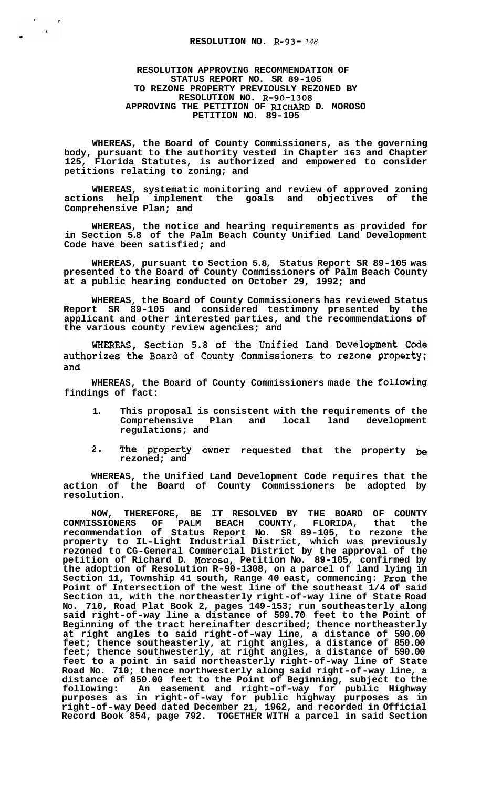## **RESOLUTION APPROVING RECOMMENDATION OF STATUS REPORT NO. SR 89-105 TO REZONE PROPERTY PREVIOUSLY REZONED BY RESOLUTION NO. R-90-1308 APPROVING THE PETITION OF RICHARD D. MOROSO PETITION NO. 89-105**

 $\mathbf{r}$ 

**WHEREAS, the Board of County Commissioners, as the governing body, pursuant to the authority vested in Chapter 163 and Chapter 125, Florida Statutes, is authorized and empowered to consider petitions relating to zoning; and** 

**WHEREAS, systematic monitoring and review of approved zoning**  actions help implement the goals and objectives of **Comprehensive Plan; and** 

**WHEREAS, the notice and hearing requirements as provided for in Section 5.8 of the Palm Beach County Unified Land Development Code have been satisfied; and** 

**WHEREAS, pursuant to Section 5.8, Status Report SR 89-105 was presented to the Board of County Commissioners of Palm Beach County at a public hearing conducted on October 29, 1992; and** 

**WHEREAS, the Board of County Commissioners has reviewed Status Report SR 89-105 and considered testimony presented by the applicant and other interested parties, and the recommendations of the various county review agencies; and** 

WHEREAS, Section 5.8 of the Unified Land Development Code authorizes the Board of County Commissioners to rezone property; and

**WHEREAS, the Board of County Commissioners made the following findings of fact:** 

- **1. This proposal is consistent with the requirements of the Comprehensive Plan and local land development regulations; and**
- **2- The Property Owner requested that the property be rezoned; and**

**WHEREAS, the Unified Land Development Code requires that the action of the Board of County Commissioners be adopted by resolution.** 

**NOW, THEREFORE, BE IT RESOLVED BY THE BOARD OF COUNTY COMMISSIONERS OF PALM BEACH COUNTY, FLORIDA, that the recommendation of Status Report No. SR 89-105, to rezone the property to IL-Light Industrial District, which was previously rezoned to CG-General Commercial District by the approval of the petition of Richard D. Moroso, Petition No. 89-105, confirmed by the adoption of Resolution R-90-1308, on a parcel of land lying in Section 11, Township 41 south, Range 40 east, commencing: From the Point of Intersection of the west line of the southeast 1/4 of said Section 11, with the northeasterly right-of-way line of State Road No. 710, Road Plat Book 2, pages 149-153; run southeasterly along said right-of-way line a distance of 599.70 feet to the Point of Beginning of the tract hereinafter described; thence northeasterly at right angles to said right-of-way line, a distance of 590.00 feet; thence southeasterly, at right angles, a distance of 850.00 feet; thence southwesterly, at right angles, a distance of 590.00 feet to a point in said northeasterly right-of-way line of State Road No. 710; thence northwesterly along said right-of-way line, a distance of 850.00 feet to the Point of Beginning, subject to the following: An easement and right-of-way for public Highway purposes as in right-of-way for public highway purposes as in right-of-way Deed dated December 21, 1962, and recorded in Official Record Book 854, page 792. TOGETHER WITH a parcel in said Section**